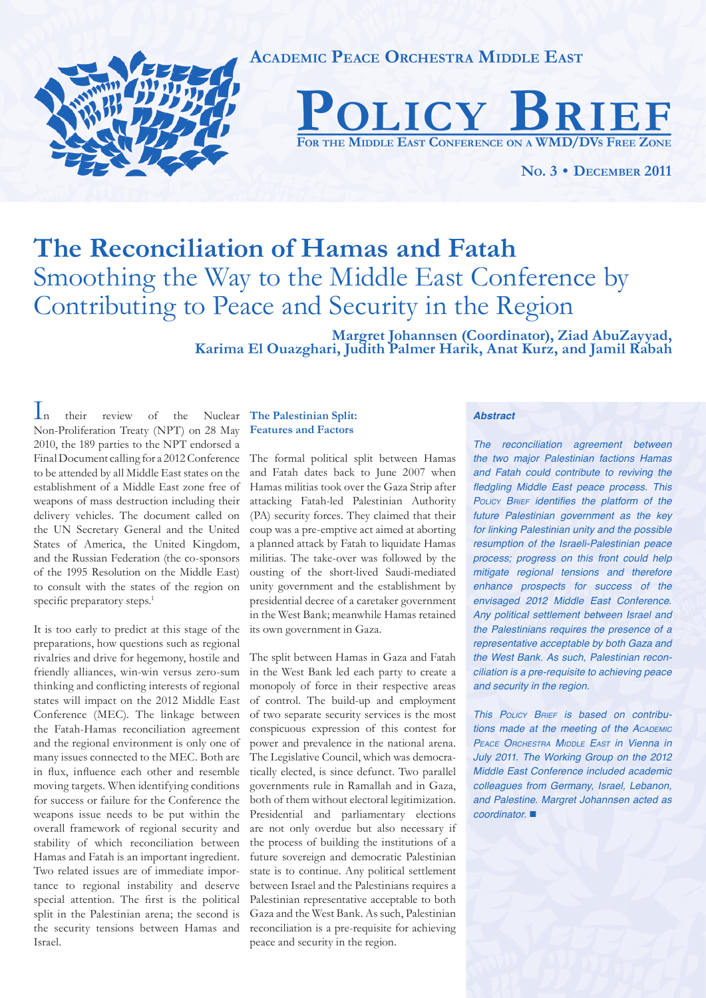

# **The Reconciliation of Hamas and Fatah** Smoothing the Way to the Middle East Conference by Contributing to Peace and Security in the Region

**Margret Johannsen (Coordinator), Ziad AbuZayyad, Karima El Ouazghari, Judith Palmer Harik, Anat Kurz, and Jamil Rabah**

In their review of the Nuclear Non-Proliferation Treaty (NPT) on 28 May 2010, the 189 parties to the NPT endorsed a Final Document calling for a 2012 Conference to be attended by all Middle East states on the establishment of a Middle East zone free of weapons of mass destruction including their delivery vehicles. The document called on the UN Secretary General and the United States of America, the United Kingdom, and the Russian Federation (the co-sponsors of the 1995 Resolution on the Middle East) to consult with the states of the region on specific preparatory steps.<sup>1</sup>

It is too early to predict at this stage of the preparations, how questions such as regional rivalries and drive for hegemony, hostile and friendly alliances, win-win versus zero-sum thinking and conflicting interests of regional states will impact on the 2012 Middle East Conference (MEC). The linkage between the Fatah-Hamas reconciliation agreement and the regional environment is only one of many issues connected to the MEC. Both are in flux, influence each other and resemble moving targets. When identifying conditions for success or failure for the Conference the weapons issue needs to be put within the overall framework of regional security and stability of which reconciliation between Hamas and Fatah is an important ingredient. Two related issues are of immediate importance to regional instability and deserve special attention. The first is the political split in the Palestinian arena; the second is the security tensions between Hamas and Israel.

## **The Palestinian Split: Features and Factors**

The formal political split between Hamas and Fatah dates back to June 2007 when Hamas militias took over the Gaza Strip after attacking Fatah-led Palestinian Authority (PA) security forces. They claimed that their coup was a pre-emptive act aimed at aborting a planned attack by Fatah to liquidate Hamas militias. The take-over was followed by the ousting of the short-lived Saudi-mediated unity government and the establishment by presidential decree of a caretaker government in the West Bank; meanwhile Hamas retained its own government in Gaza.

The split between Hamas in Gaza and Fatah in the West Bank led each party to create a monopoly of force in their respective areas of control. The build-up and employment of two separate security services is the most conspicuous expression of this contest for power and prevalence in the national arena. The Legislative Council, which was democratically elected, is since defunct. Two parallel governments rule in Ramallah and in Gaza, both of them without electoral legitimization. Presidential and parliamentary elections are not only overdue but also necessary if the process of building the institutions of a future sovereign and democratic Palestinian state is to continue. Any political settlement between Israel and the Palestinians requires a Palestinian representative acceptable to both Gaza and the West Bank. As such, Palestinian reconciliation is a pre-requisite for achieving peace and security in the region.

#### *Abstract*

*The reconciliation agreement between the two major Palestinian factions Hamas and Fatah could contribute to reviving the*  fledgling Middle East peace process. This **POLICY BRIEF identifies the platform of the** *future Palestinian government as the key*  for linking Palestinian unity and the possible resumption of the Israeli-Palestinian peace process; progress on this front could help *mitigate regional tensions and therefore*  enhance prospects for success of the envisaged 2012 Middle East Conference. Any political settlement between Israel and the Palestinians requires the presence of a representative acceptable by both Gaza and the West Bank. As such, Palestinian reconciliation is a pre-requisite to achieving peace and security in the region.

*This POLICY BRIEF* is based on contribu*tions made at the meeting of the ACADEMIC PEACE ORCHESTRA MIDDLE EAST in Vienna in*  July 2011. The Working Group on the 2012 Middle East Conference included academic colleagues from Germany, Israel, Lebanon, and Palestine. Margret Johannsen acted as coordinator. ■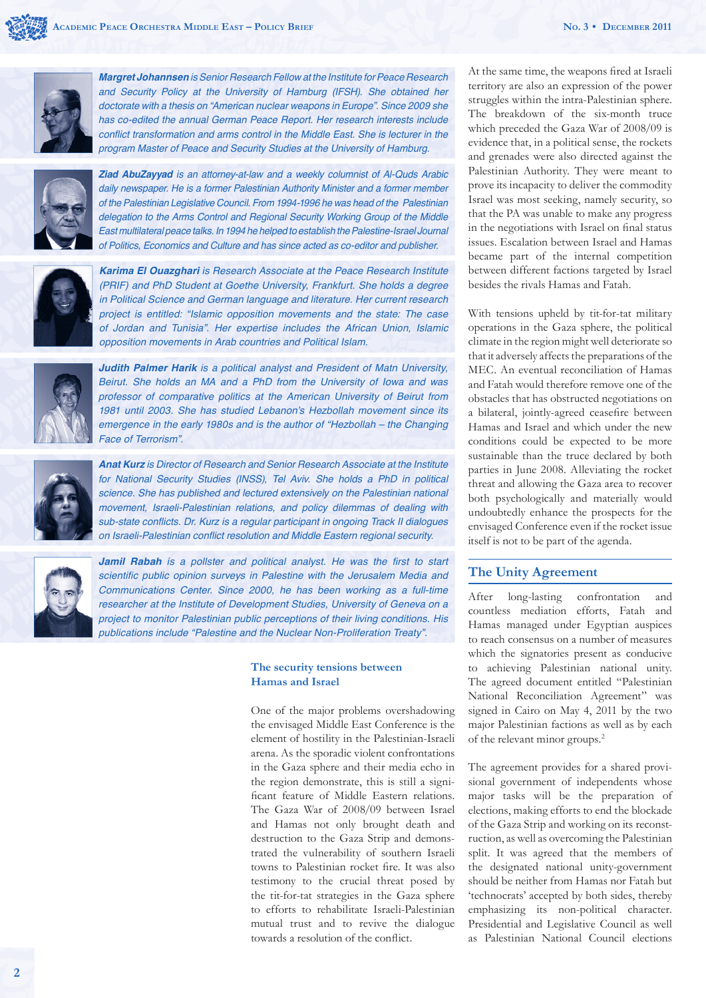

*Margret Johannsen* is Senior Research Fellow at the Institute for Peace Research and Security Policy at the University of Hamburg (IFSH). She obtained her doctorate with a thesis on "American nuclear weapons in Europe". Since 2009 she has co-edited the annual German Peace Report. Her research interests include conflict transformation and arms control in the Middle East. She is lecturer in the program Master of Peace and Security Studies at the University of Hamburg.



*Ziad AbuZayyad* is an attorney-at-law and a weekly columnist of Al-Quds Arabic daily newspaper. He is a former Palestinian Authority Minister and a former member of the Palestinian Legislative Council. From 1994-1996 he was head of the Palestinian delegation to the Arms Control and Regional Security Working Group of the Middle East multilateral peace talks. In 1994 he helped to establish the Palestine-Israel Journal of Politics, Economics and Culture and has since acted as co-editor and publisher.



*Karima El Ouazghari* is Research Associate at the Peace Research Institute (PRIF) and PhD Student at Goethe University, Frankfurt. She holds a degree in Political Science and German language and literature. Her current research project is entitled: "Islamic opposition movements and the state: The case of Jordan and Tunisia". Her expertise includes the African Union, Islamic opposition movements in Arab countries and Political Islam.



*Judith Palmer Harik* is a political analyst and President of Matn University, Beirut. She holds an MA and a PhD from the University of Iowa and was professor of comparative politics at the American University of Beirut from 1981 until 2003. She has studied Lebanon's Hezbollah movement since its emergence in the early 1980s and is the author of "Hezbollah – the Changing Face of Terrorism".



*Anat Kurz* is Director of Research and Senior Research Associate at the Institute for National Security Studies (INSS), Tel Aviv. She holds a PhD in political science. She has published and lectured extensively on the Palestinian national movement, Israeli-Palestinian relations, and policy dilemmas of dealing with sub-state conflicts. Dr. Kurz is a regular participant in ongoing Track II dialogues on Israeli-Palestinian conflict resolution and Middle Eastern regional security.



**Jamil Rabah** is a pollster and political analyst. He was the first to start scientific public opinion surveys in Palestine with the Jerusalem Media and Communications Center. Since 2000, he has been working as a full-time researcher at the Institute of Development Studies, University of Geneva on a project to monitor Palestinian public perceptions of their living conditions. His publications include "Palestine and the Nuclear Non-Proliferation Treaty".

## **The security tensions between Hamas and Israel**

One of the major problems overshadowing the envisaged Middle East Conference is the element of hostility in the Palestinian-Israeli arena. As the sporadic violent confrontations in the Gaza sphere and their media echo in the region demonstrate, this is still a significant feature of Middle Eastern relations. The Gaza War of 2008/09 between Israel and Hamas not only brought death and destruction to the Gaza Strip and demonstrated the vulnerability of southern Israeli towns to Palestinian rocket fire. It was also testimony to the crucial threat posed by the tit-for-tat strategies in the Gaza sphere to efforts to rehabilitate Israeli-Palestinian mutual trust and to revive the dialogue towards a resolution of the conflict.

At the same time, the weapons fired at Israeli territory are also an expression of the power struggles within the intra-Palestinian sphere. The breakdown of the six-month truce which preceded the Gaza War of 2008/09 is evidence that, in a political sense, the rockets and grenades were also directed against the Palestinian Authority. They were meant to prove its incapacity to deliver the commodity Israel was most seeking, namely security, so that the PA was unable to make any progress in the negotiations with Israel on final status issues. Escalation between Israel and Hamas became part of the internal competition between different factions targeted by Israel besides the rivals Hamas and Fatah.

With tensions upheld by tit-for-tat military operations in the Gaza sphere, the political climate in the region might well deteriorate so that it adversely affects the preparations of the MEC. An eventual reconciliation of Hamas and Fatah would therefore remove one of the obstacles that has obstructed negotiations on a bilateral, jointly-agreed ceasefire between Hamas and Israel and which under the new conditions could be expected to be more sustainable than the truce declared by both parties in June 2008. Alleviating the rocket threat and allowing the Gaza area to recover both psychologically and materially would undoubtedly enhance the prospects for the envisaged Conference even if the rocket issue itself is not to be part of the agenda.

## **The Unity Agreement**

After long-lasting confrontation and countless mediation efforts, Fatah and Hamas managed under Egyptian auspices to reach consensus on a number of measures which the signatories present as conducive to achieving Palestinian national unity. The agreed document entitled "Palestinian National Reconciliation Agreement" was signed in Cairo on May 4, 2011 by the two major Palestinian factions as well as by each of the relevant minor groups.<sup>2</sup>

The agreement provides for a shared provisional government of independents whose major tasks will be the preparation of elections, making efforts to end the blockade of the Gaza Strip and working on its reconstruction, as well as overcoming the Palestinian split. It was agreed that the members of the designated national unity-government should be neither from Hamas nor Fatah but 'technocrats' accepted by both sides, thereby emphasizing its non-political character. Presidential and Legislative Council as well as Palestinian National Council elections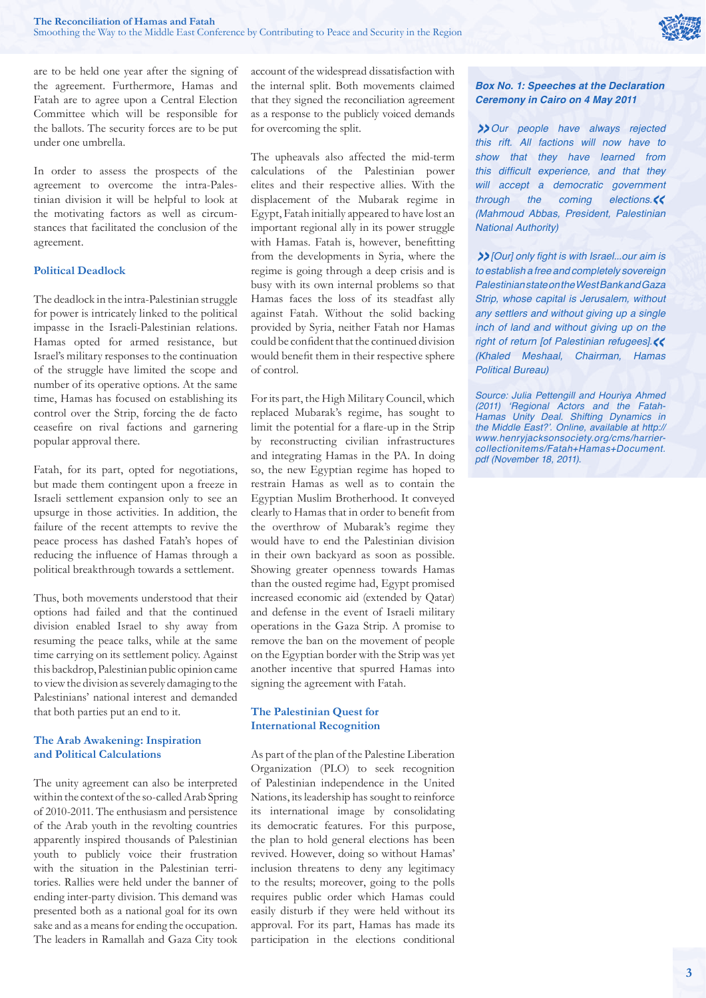are to be held one year after the signing of the agreement. Furthermore, Hamas and Fatah are to agree upon a Central Election Committee which will be responsible for the ballots. The security forces are to be put under one umbrella.

In order to assess the prospects of the agreement to overcome the intra-Palestinian division it will be helpful to look at the motivating factors as well as circumstances that facilitated the conclusion of the agreement.

## **Political Deadlock**

The deadlock in the intra-Palestinian struggle for power is intricately linked to the political impasse in the Israeli-Palestinian relations. Hamas opted for armed resistance, but Israel's military responses to the continuation of the struggle have limited the scope and number of its operative options. At the same time, Hamas has focused on establishing its control over the Strip, forcing the de facto ceasefire on rival factions and garnering popular approval there.

Fatah, for its part, opted for negotiations, but made them contingent upon a freeze in Israeli settlement expansion only to see an upsurge in those activities. In addition, the failure of the recent attempts to revive the peace process has dashed Fatah's hopes of reducing the influence of Hamas through a political breakthrough towards a settlement.

Thus, both movements understood that their options had failed and that the continued division enabled Israel to shy away from resuming the peace talks, while at the same time carrying on its settlement policy. Against this backdrop, Palestinian public opinion came to view the division as severely damaging to the Palestinians' national interest and demanded that both parties put an end to it.

## **The Arab Awakening: Inspiration and Political Calculations**

The unity agreement can also be interpreted within the context of the so-called Arab Spring of 2010-2011. The enthusiasm and persistence of the Arab youth in the revolting countries apparently inspired thousands of Palestinian youth to publicly voice their frustration with the situation in the Palestinian territories. Rallies were held under the banner of ending inter-party division. This demand was presented both as a national goal for its own sake and as a means for ending the occupation. The leaders in Ramallah and Gaza City took account of the widespread dissatisfaction with the internal split. Both movements claimed that they signed the reconciliation agreement as a response to the publicly voiced demands for overcoming the split.

The upheavals also affected the mid-term calculations of the Palestinian power elites and their respective allies. With the displacement of the Mubarak regime in Egypt, Fatah initially appeared to have lost an important regional ally in its power struggle with Hamas. Fatah is, however, benefitting from the developments in Syria, where the regime is going through a deep crisis and is busy with its own internal problems so that Hamas faces the loss of its steadfast ally against Fatah. Without the solid backing provided by Syria, neither Fatah nor Hamas could be confident that the continued division would benefit them in their respective sphere of control.

For its part, the High Military Council, which replaced Mubarak's regime, has sought to limit the potential for a flare-up in the Strip by reconstructing civilian infrastructures and integrating Hamas in the PA. In doing so, the new Egyptian regime has hoped to restrain Hamas as well as to contain the Egyptian Muslim Brotherhood. It conveyed clearly to Hamas that in order to benefit from the overthrow of Mubarak's regime they would have to end the Palestinian division in their own backyard as soon as possible. Showing greater openness towards Hamas than the ousted regime had, Egypt promised increased economic aid (extended by Qatar) and defense in the event of Israeli military operations in the Gaza Strip. A promise to remove the ban on the movement of people on the Egyptian border with the Strip was yet another incentive that spurred Hamas into signing the agreement with Fatah.

#### **The Palestinian Quest for International Recognition**

As part of the plan of the Palestine Liberation Organization (PLO) to seek recognition of Palestinian independence in the United Nations, its leadership has sought to reinforce its international image by consolidating its democratic features. For this purpose, the plan to hold general elections has been revived. However, doing so without Hamas' inclusion threatens to deny any legitimacy to the results; moreover, going to the polls requires public order which Hamas could easily disturb if they were held without its approval. For its part, Hamas has made its participation in the elections conditional

## *Box No. 1: Speeches at the Declaration Ceremony in Cairo on 4 May 2011*

*»*Our people have always rejected this rift. All factions will now have to *show that they have learned from*  this difficult experience, and that they will accept a democratic government through the coming elections.*«*  (Mahmoud Abbas, President, Palestinian National Authority)

**>>** [Ourl only fight is with Israel...our aim is to establish a free and completely sovereign Palestinian state on the West Bank and Gaza Strip, whose capital is Jerusalem, without any settlers and without giving up a single inch of land and without giving up on the right of return [of Palestinian refugees].*«*  (Khaled Meshaal, Chairman, Hamas Political Bureau)

Source: Julia Pettengill and Houriya Ahmed (2011) 'Regional Actors and the Fatah-Hamas Unity Deal. Shifting Dynamics in the Middle East?'. Online, available at http:// www.henryjacksonsociety.org/cms/harriercollectionitems/Fatah+Hamas+Document. pdf (November 18, 2011).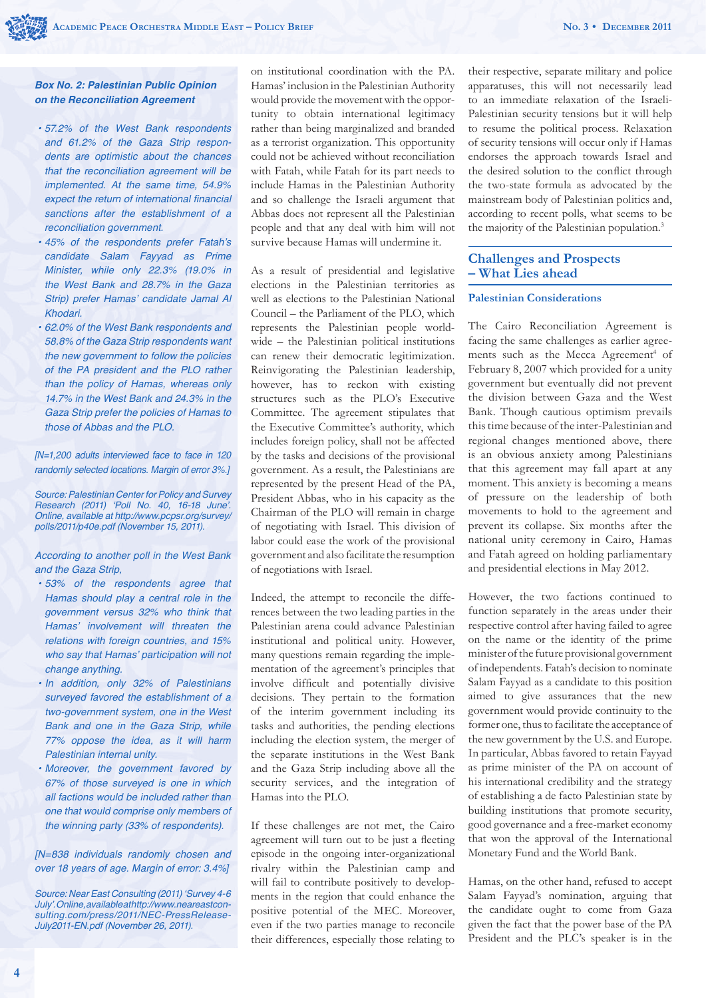#### *Box No. 2: Palestinian Public Opinion on the Reconciliation Agreement*

- 57.2% of the West Bank respondents and 61.2% of the Gaza Strip respondents are optimistic about the chances *that the reconciliation agreement will be*  implemented. At the same time, 54.9% expect the return of international financial *sanctions after the establishment of a*  reconciliation government.
- 45% of the respondents prefer Fatah's *candidate Salam Fayyad as Prime*  Minister, while only 22.3% (19.0% in the West Bank and 28.7% in the Gaza Strip) prefer Hamas' candidate Jamal Al Khodari.
- 62.0% of the West Bank respondents and 58.8% of the Gaza Strip respondents want the new government to follow the policies of the PA president and the PLO rather than the policy of Hamas, whereas only 14.7% in the West Bank and 24.3% in the Gaza Strip prefer the policies of Hamas to those of Abbas and the PLO.

[N=1,200 adults interviewed face to face in 120 randomly selected locations. Margin of error 3%.]

Source: Palestinian Center for Policy and Survey Research (2011) 'Poll No. 40, 16-18 June'. Online, available at http://www.pcpsr.org/survey/ polls/2011/p40e.pdf (November 15, 2011).

According to another poll in the West Bank and the Gaza Strip,

- 53% of the respondents agree that Hamas should play a central role in the government versus 32% who think that Hamas' involvement will threaten the relations with foreign countries, and 15% who say that Hamas' participation will not change anything.
- In addition, only 32% of Palestinians *surveyed favored the establishment of a*  two-government system, one in the West Bank and one in the Gaza Strip, while 77% oppose the idea, as it will harm Palestinian internal unity.
- Moreover, the government favored by 67% of those surveyed is one in which *all factions would be included rather than*  one that would comprise only members of the winning party (33% of respondents).

[N=838 individuals randomly chosen and over 18 years of age. Margin of error: 3.4%]

Source: Near East Consulting (2011) 'Survey 4-6 July'. Online, available at http://www.neareastconsulting.com/press/2011/NEC-PressRelease-July2011-EN.pdf (November 26, 2011).

on institutional coordination with the PA. Hamas' inclusion in the Palestinian Authority would provide the movement with the opportunity to obtain international legitimacy rather than being marginalized and branded as a terrorist organization. This opportunity could not be achieved without reconciliation with Fatah, while Fatah for its part needs to include Hamas in the Palestinian Authority and so challenge the Israeli argument that Abbas does not represent all the Palestinian people and that any deal with him will not survive because Hamas will undermine it.

As a result of presidential and legislative elections in the Palestinian territories as well as elections to the Palestinian National Council – the Parliament of the PLO, which represents the Palestinian people worldwide – the Palestinian political institutions can renew their democratic legitimization. Reinvigorating the Palestinian leadership, however, has to reckon with existing structures such as the PLO's Executive Committee. The agreement stipulates that the Executive Committee's authority, which includes foreign policy, shall not be affected by the tasks and decisions of the provisional government. As a result, the Palestinians are represented by the present Head of the PA, President Abbas, who in his capacity as the Chairman of the PLO will remain in charge of negotiating with Israel. This division of labor could ease the work of the provisional government and also facilitate the resumption of negotiations with Israel.

Indeed, the attempt to reconcile the differences between the two leading parties in the Palestinian arena could advance Palestinian institutional and political unity. However, many questions remain regarding the implementation of the agreement's principles that involve difficult and potentially divisive decisions. They pertain to the formation of the interim government including its tasks and authorities, the pending elections including the election system, the merger of the separate institutions in the West Bank and the Gaza Strip including above all the security services, and the integration of Hamas into the PLO.

If these challenges are not met, the Cairo agreement will turn out to be just a fleeting episode in the ongoing inter-organizational rivalry within the Palestinian camp and will fail to contribute positively to developments in the region that could enhance the positive potential of the MEC. Moreover, even if the two parties manage to reconcile their differences, especially those relating to

their respective, separate military and police apparatuses, this will not necessarily lead to an immediate relaxation of the Israeli-Palestinian security tensions but it will help to resume the political process. Relaxation of security tensions will occur only if Hamas endorses the approach towards Israel and the desired solution to the conflict through the two-state formula as advocated by the mainstream body of Palestinian politics and, according to recent polls, what seems to be the majority of the Palestinian population.<sup>3</sup>

## **Challenges and Prospects – What Lies ahead**

#### **Palestinian Considerations**

The Cairo Reconciliation Agreement is facing the same challenges as earlier agreements such as the Mecca Agreement<sup>4</sup> of February 8, 2007 which provided for a unity government but eventually did not prevent the division between Gaza and the West Bank. Though cautious optimism prevails this time because of the inter-Palestinian and regional changes mentioned above, there is an obvious anxiety among Palestinians that this agreement may fall apart at any moment. This anxiety is becoming a means of pressure on the leadership of both movements to hold to the agreement and prevent its collapse. Six months after the national unity ceremony in Cairo, Hamas and Fatah agreed on holding parliamentary and presidential elections in May 2012.

However, the two factions continued to function separately in the areas under their respective control after having failed to agree on the name or the identity of the prime minister of the future provisional government of independents. Fatah's decision to nominate Salam Fayyad as a candidate to this position aimed to give assurances that the new government would provide continuity to the former one, thus to facilitate the acceptance of the new government by the U.S. and Europe. In particular, Abbas favored to retain Fayyad as prime minister of the PA on account of his international credibility and the strategy of establishing a de facto Palestinian state by building institutions that promote security, good governance and a free-market economy that won the approval of the International Monetary Fund and the World Bank.

Hamas, on the other hand, refused to accept Salam Fayyad's nomination, arguing that the candidate ought to come from Gaza given the fact that the power base of the PA President and the PLC's speaker is in the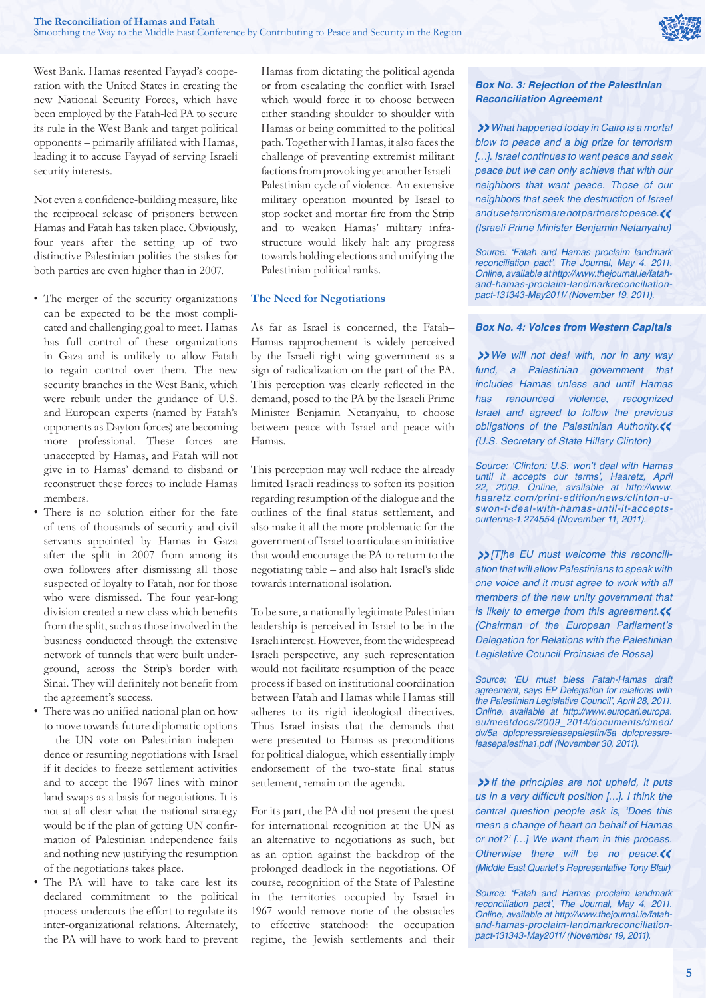

West Bank. Hamas resented Fayyad's cooperation with the United States in creating the new National Security Forces, which have been employed by the Fatah-led PA to secure its rule in the West Bank and target political opponents – primarily affiliated with Hamas, leading it to accuse Fayyad of serving Israeli security interests.

Not even a confidence-building measure, like the reciprocal release of prisoners between Hamas and Fatah has taken place. Obviously, four years after the setting up of two distinctive Palestinian polities the stakes for both parties are even higher than in 2007.

- The merger of the security organizations can be expected to be the most complicated and challenging goal to meet. Hamas has full control of these organizations in Gaza and is unlikely to allow Fatah to regain control over them. The new security branches in the West Bank, which were rebuilt under the guidance of U.S. and European experts (named by Fatah's opponents as Dayton forces) are becoming more professional. These forces are unaccepted by Hamas, and Fatah will not give in to Hamas' demand to disband or reconstruct these forces to include Hamas members.
- There is no solution either for the fate of tens of thousands of security and civil servants appointed by Hamas in Gaza after the split in 2007 from among its own followers after dismissing all those suspected of loyalty to Fatah, nor for those who were dismissed. The four year-long division created a new class which benefits from the split, such as those involved in the business conducted through the extensive network of tunnels that were built underground, across the Strip's border with Sinai. They will definitely not benefit from the agreement's success.
- There was no unified national plan on how to move towards future diplomatic options – the UN vote on Palestinian independence or resuming negotiations with Israel if it decides to freeze settlement activities and to accept the 1967 lines with minor land swaps as a basis for negotiations. It is not at all clear what the national strategy would be if the plan of getting UN confirmation of Palestinian independence fails and nothing new justifying the resumption of the negotiations takes place.
- The PA will have to take care lest its declared commitment to the political process undercuts the effort to regulate its inter-organizational relations. Alternately, the PA will have to work hard to prevent

Hamas from dictating the political agenda or from escalating the conflict with Israel which would force it to choose between either standing shoulder to shoulder with Hamas or being committed to the political path. Together with Hamas, it also faces the challenge of preventing extremist militant factions from provoking yet another Israeli-Palestinian cycle of violence. An extensive military operation mounted by Israel to stop rocket and mortar fire from the Strip and to weaken Hamas' military infrastructure would likely halt any progress towards holding elections and unifying the Palestinian political ranks.

#### **The Need for Negotiations**

As far as Israel is concerned, the Fatah– Hamas rapprochement is widely perceived by the Israeli right wing government as a sign of radicalization on the part of the PA. This perception was clearly reflected in the demand, posed to the PA by the Israeli Prime Minister Benjamin Netanyahu, to choose between peace with Israel and peace with Hamas.

This perception may well reduce the already limited Israeli readiness to soften its position regarding resumption of the dialogue and the outlines of the final status settlement, and also make it all the more problematic for the government of Israel to articulate an initiative that would encourage the PA to return to the negotiating table – and also halt Israel's slide towards international isolation.

To be sure, a nationally legitimate Palestinian leadership is perceived in Israel to be in the Israeli interest. However, from the widespread Israeli perspective, any such representation would not facilitate resumption of the peace process if based on institutional coordination between Fatah and Hamas while Hamas still adheres to its rigid ideological directives. Thus Israel insists that the demands that were presented to Hamas as preconditions for political dialogue, which essentially imply endorsement of the two-state final status settlement, remain on the agenda.

For its part, the PA did not present the quest for international recognition at the UN as an alternative to negotiations as such, but as an option against the backdrop of the prolonged deadlock in the negotiations. Of course, recognition of the State of Palestine in the territories occupied by Israel in 1967 would remove none of the obstacles to effective statehood: the occupation regime, the Jewish settlements and their

## *Box No. 3: Rejection of the Palestinian Reconciliation Agreement*

*»*What happened today in Cairo is a mortal blow to peace and a big prize for terrorism [...]. Israel continues to want peace and seek peace but we can only achieve that with our neighbors that want peace. Those of our neighbors that seek the destruction of Israel and use terrorism are not partners to peace.*«* (Israeli Prime Minister Benjamin Netanyahu)

Source: 'Fatah and Hamas proclaim landmark reconciliation pact', The Journal, May 4, 2011. Online, available at http://www.thejournal.ie/fatahand-hamas-proclaim-landmarkreconciliationpact-131343-May2011/ (November 19, 2011).

#### *Box No. 4: Voices from Western Capitals*

*»*We will not deal with, nor in any way fund, a Palestinian government that *includes Hamas unless and until Hamas*  has renounced violence, recognized Israel and agreed to follow the previous obligations of the Palestinian Authority.*«*  (U.S. Secretary of State Hillary Clinton)

Source: 'Clinton: U.S. won't deal with Hamas until it accepts our terms', Haaretz, April 22, 2009. Online, available at http://www. haaretz.com/print-edition/news/clinton-uswon-t-deal-with-hamas-until-it-acceptsourterms-1.274554 (November 11, 2011).

*»*[T]he EU must welcome this reconciliation that will allow Palestinians to speak with *one voice and it must agree to work with all members of the new unity government that*  is likely to emerge from this agreement.*«* (Chairman of the European Parliament's Delegation for Relations with the Palestinian Legislative Council Proinsias de Rossa)

Source: 'EU must bless Fatah-Hamas draft agreement, says EP Delegation for relations with the Palestinian Legislative Council', April 28, 2011. Online, available at http://www.europarl.europa. eu/meetdocs/2009\_2014/documents/dmed/ dv/5a\_dplcpressreleasepalestin/5a\_dplcpressreleasepalestina1.pdf (November 30, 2011).

*»*If the principles are not upheld, it puts us in a very difficult position  $[...]$ . I think the central question people ask is, 'Does this *mean a change of heart on behalf of Hamas*  or not?' […] We want them in this process. Otherwise there will be no peace. (Middle East Quartet's Representative Tony Blair)

Source: 'Fatah and Hamas proclaim landmark reconciliation pact', The Journal, May 4, 2011. Online, available at http://www.thejournal.ie/fatahand-hamas-proclaim-landmarkreconciliationpact-131343-May2011/ (November 19, 2011).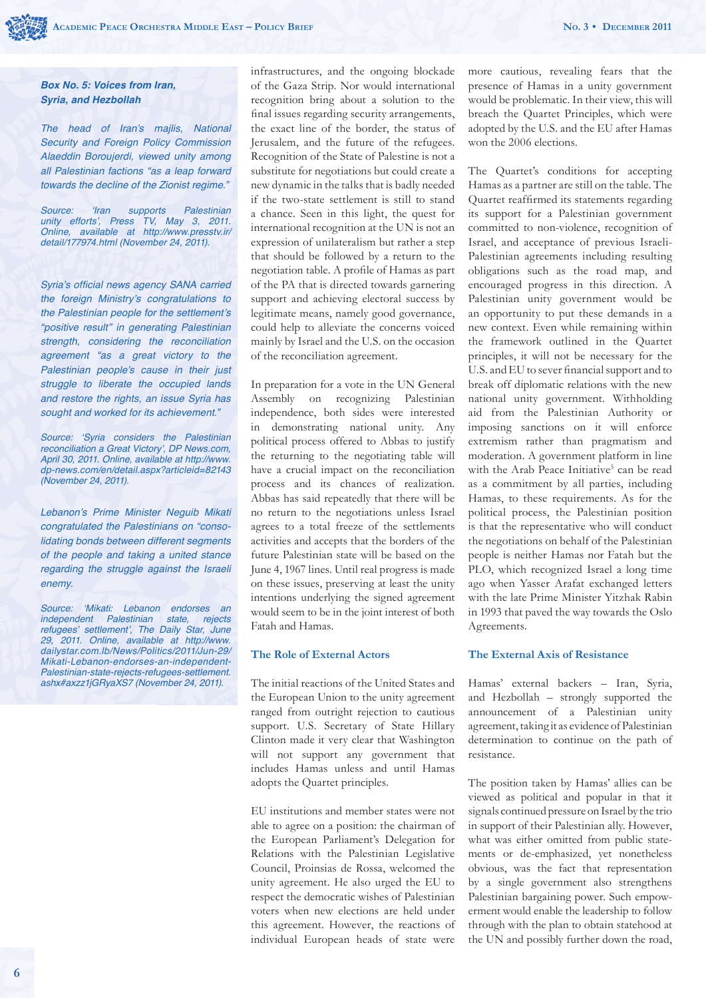#### *Box No. 5: Voices from Iran, Syria, and Hezbollah*

The head of Iran's majlis, National Security and Foreign Policy Commission Alaeddin Boroujerdi, viewed unity among all Palestinian factions "as a leap forward towards the decline of the Zionist regime."

Source: 'Iran supports Palestinian unity efforts', Press TV, May 3, 2011. Online, available at http://www.presstv.ir/ detail/177974.html (November 24, 2011).

Syria's official news agency SANA carried the foreign Ministry's congratulations to the Palestinian people for the settlement's "positive result" in generating Palestinian strength, considering the reconciliation *agreement "as a great victory to the*  Palestinian people's cause in their just struggle to liberate the occupied lands and restore the rights, an issue Syria has sought and worked for its achievement."

Source: 'Syria considers the Palestinian reconciliation a Great Victory', DP News.com, April 30, 2011. Online, available at http://www. dp-news.com/en/detail.aspx?articleid=82143 (November 24, 2011).

Lebanon's Prime Minister Neguib Mikati congratulated the Palestinians on "conso*lidating bonds between different segments*  of the people and taking a united stance regarding the struggle against the Israeli enemy.

Source: 'Mikati: Lebanon endorses an independent Palestinian state, rejects refugees' settlement', The Daily Star, June 29, 2011. Online, available at http://www. dailystar.com.lb/News/Politics/2011/Jun-29/ Mikati-Lebanon-endorses-an-independent-Palestinian-state-rejects-refugees-settlement. ashx#axzz1jGRyaXS7 (November 24, 2011).

infrastructures, and the ongoing blockade of the Gaza Strip. Nor would international recognition bring about a solution to the final issues regarding security arrangements, the exact line of the border, the status of Jerusalem, and the future of the refugees. Recognition of the State of Palestine is not a substitute for negotiations but could create a new dynamic in the talks that is badly needed if the two-state settlement is still to stand a chance. Seen in this light, the quest for international recognition at the UN is not an expression of unilateralism but rather a step that should be followed by a return to the negotiation table. A profile of Hamas as part of the PA that is directed towards garnering support and achieving electoral success by legitimate means, namely good governance, could help to alleviate the concerns voiced mainly by Israel and the U.S. on the occasion of the reconciliation agreement.

In preparation for a vote in the UN General Assembly on recognizing Palestinian independence, both sides were interested in demonstrating national unity. Any political process offered to Abbas to justify the returning to the negotiating table will have a crucial impact on the reconciliation process and its chances of realization. Abbas has said repeatedly that there will be no return to the negotiations unless Israel agrees to a total freeze of the settlements activities and accepts that the borders of the future Palestinian state will be based on the June 4, 1967 lines. Until real progress is made on these issues, preserving at least the unity intentions underlying the signed agreement would seem to be in the joint interest of both Fatah and Hamas.

## **The Role of External Actors**

The initial reactions of the United States and the European Union to the unity agreement ranged from outright rejection to cautious support. U.S. Secretary of State Hillary Clinton made it very clear that Washington will not support any government that includes Hamas unless and until Hamas adopts the Quartet principles.

EU institutions and member states were not able to agree on a position: the chairman of the European Parliament's Delegation for Relations with the Palestinian Legislative Council, Proinsias de Rossa, welcomed the unity agreement. He also urged the EU to respect the democratic wishes of Palestinian voters when new elections are held under this agreement. However, the reactions of individual European heads of state were more cautious, revealing fears that the presence of Hamas in a unity government would be problematic. In their view, this will breach the Quartet Principles, which were adopted by the U.S. and the EU after Hamas won the 2006 elections.

The Quartet's conditions for accepting Hamas as a partner are still on the table. The Quartet reaffirmed its statements regarding its support for a Palestinian government committed to non-violence, recognition of Israel, and acceptance of previous Israeli-Palestinian agreements including resulting obligations such as the road map, and encouraged progress in this direction. A Palestinian unity government would be an opportunity to put these demands in a new context. Even while remaining within the framework outlined in the Quartet principles, it will not be necessary for the U.S. and EU to sever financial support and to break off diplomatic relations with the new national unity government. Withholding aid from the Palestinian Authority or imposing sanctions on it will enforce extremism rather than pragmatism and moderation. A government platform in line with the Arab Peace Initiative<sup>5</sup> can be read as a commitment by all parties, including Hamas, to these requirements. As for the political process, the Palestinian position is that the representative who will conduct the negotiations on behalf of the Palestinian people is neither Hamas nor Fatah but the PLO, which recognized Israel a long time ago when Yasser Arafat exchanged letters with the late Prime Minister Yitzhak Rabin in 1993 that paved the way towards the Oslo Agreements.

#### **The External Axis of Resistance**

Hamas' external backers – Iran, Syria, and Hezbollah – strongly supported the announcement of a Palestinian unity agreement, taking it as evidence of Palestinian determination to continue on the path of resistance.

The position taken by Hamas' allies can be viewed as political and popular in that it signals continued pressure on Israel by the trio in support of their Palestinian ally. However, what was either omitted from public statements or de-emphasized, yet nonetheless obvious, was the fact that representation by a single government also strengthens Palestinian bargaining power. Such empowerment would enable the leadership to follow through with the plan to obtain statehood at the UN and possibly further down the road,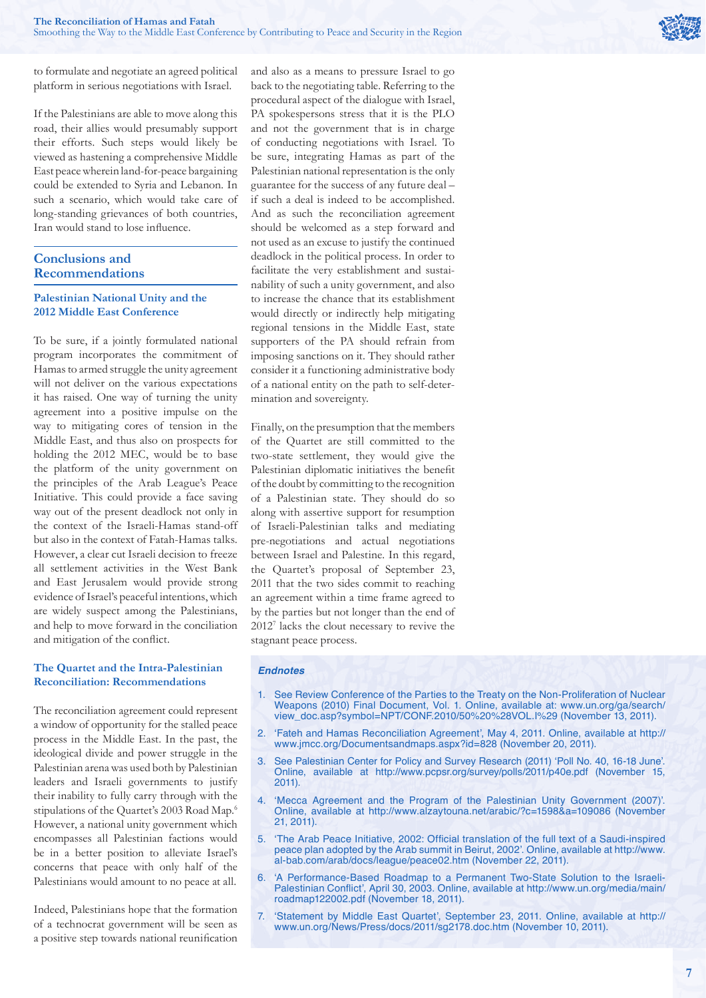

to formulate and negotiate an agreed political platform in serious negotiations with Israel.

If the Palestinians are able to move along this road, their allies would presumably support their efforts. Such steps would likely be viewed as hastening a comprehensive Middle East peace wherein land-for-peace bargaining could be extended to Syria and Lebanon. In such a scenario, which would take care of long-standing grievances of both countries, Iran would stand to lose influence.

## **Conclusions and Recommendations**

## **Palestinian National Unity and the 2012 Middle East Conference**

To be sure, if a jointly formulated national program incorporates the commitment of Hamas to armed struggle the unity agreement will not deliver on the various expectations it has raised. One way of turning the unity agreement into a positive impulse on the way to mitigating cores of tension in the Middle East, and thus also on prospects for holding the 2012 MEC, would be to base the platform of the unity government on the principles of the Arab League's Peace Initiative. This could provide a face saving way out of the present deadlock not only in the context of the Israeli-Hamas stand-off but also in the context of Fatah-Hamas talks. However, a clear cut Israeli decision to freeze all settlement activities in the West Bank and East Jerusalem would provide strong evidence of Israel's peaceful intentions, which are widely suspect among the Palestinians, and help to move forward in the conciliation and mitigation of the conflict.

#### **The Quartet and the Intra-Palestinian Reconciliation: Recommendations**

The reconciliation agreement could represent a window of opportunity for the stalled peace process in the Middle East. In the past, the ideological divide and power struggle in the Palestinian arena was used both by Palestinian leaders and Israeli governments to justify their inability to fully carry through with the stipulations of the Quartet's 2003 Road Map.<sup>6</sup> However, a national unity government which encompasses all Palestinian factions would be in a better position to alleviate Israel's concerns that peace with only half of the Palestinians would amount to no peace at all.

Indeed, Palestinians hope that the formation of a technocrat government will be seen as a positive step towards national reunification and also as a means to pressure Israel to go back to the negotiating table. Referring to the procedural aspect of the dialogue with Israel, PA spokespersons stress that it is the PLO and not the government that is in charge of conducting negotiations with Israel. To be sure, integrating Hamas as part of the Palestinian national representation is the only guarantee for the success of any future deal – if such a deal is indeed to be accomplished. And as such the reconciliation agreement should be welcomed as a step forward and not used as an excuse to justify the continued deadlock in the political process. In order to facilitate the very establishment and sustainability of such a unity government, and also to increase the chance that its establishment would directly or indirectly help mitigating regional tensions in the Middle East, state supporters of the PA should refrain from imposing sanctions on it. They should rather consider it a functioning administrative body of a national entity on the path to self-determination and sovereignty.

Finally, on the presumption that the members of the Quartet are still committed to the two-state settlement, they would give the Palestinian diplomatic initiatives the benefit of the doubt by committing to the recognition of a Palestinian state. They should do so along with assertive support for resumption of Israeli-Palestinian talks and mediating pre-negotiations and actual negotiations between Israel and Palestine. In this regard, the Quartet's proposal of September 23, 2011 that the two sides commit to reaching an agreement within a time frame agreed to by the parties but not longer than the end of 20127 lacks the clout necessary to revive the stagnant peace process.

#### *Endnotes*

- 1. See Review Conference of the Parties to the Treaty on the Non-Proliferation of Nuclear Weapons (2010) Final Document, Vol. 1. Online, available at: www.un.org/ga/search/ view\_doc.asp?symbol=NPT/CONF.2010/50%20%28VOL.I%29 (November 13, 2011).
- 2. 'Fateh and Hamas Reconciliation Agreement', May 4, 2011. Online, available at http:// www.jmcc.org/Documentsandmaps.aspx?id=828 (November 20, 2011).
- 3. See Palestinian Center for Policy and Survey Research (2011) 'Poll No. 40, 16-18 June'. Online, available at http://www.pcpsr.org/survey/polls/2011/p40e.pdf (November 15, 2011).
- 4. 'Mecca Agreement and the Program of the Palestinian Unity Government (2007)'. Online, available at http://www.alzaytouna.net/arabic/?c=1598&a=109086 (November 21, 2011).
- 5. 'The Arab Peace Initiative, 2002: Official translation of the full text of a Saudi-inspired peace plan adopted by the Arab summit in Beirut, 2002'. Online, available at http://www. al-bab.com/arab/docs/league/peace02.htm (November 22, 2011).
- 6. 'A Performance-Based Roadmap to a Permanent Two-State Solution to the Israeli-Palestinian Conflict', April 30, 2003. Online, available at http://www.un.org/media/main/ roadmap122002.pdf (November 18, 2011).
- 7. 'Statement by Middle East Quartet', September 23, 2011. Online, available at http:// www.un.org/News/Press/docs/2011/sg2178.doc.htm (November 10, 2011).